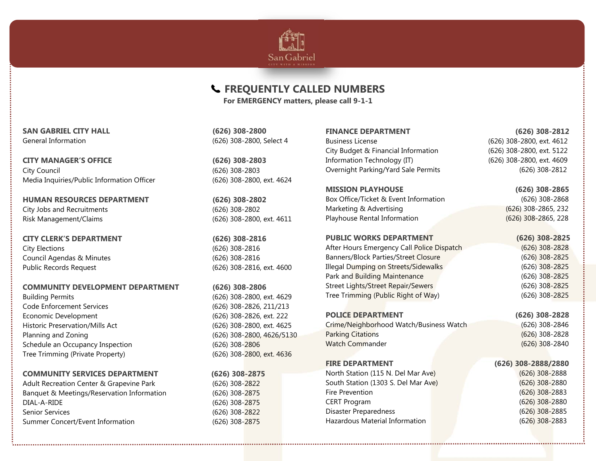

### **FREQUENTLY CALLED NUMBERS**

**For EMERGENCY matters, please call 9-1-1**

**SAN GABRIEL CITY HALL (626) 308-2800**  General Information (626) 308-2800, Select 4

**CITY MANAGER'S OFFICE (626) 308-2803**  City Council (626) 308-2803 Media Inquiries/Public Information Officer (626) 308-2800, ext. 4624

**HUMAN RESOURCES DEPARTMENT (626) 308-2802**  City Jobs and Recruitments (626) 308-2802 Risk Management/Claims (626) 308-2800, ext. 4611

**CITY CLERK'S DEPARTMENT (626) 308-2816** City Elections (626) 308-2816 Council Agendas & Minutes (626) 308-2816 Public Records Request (626) 308-2816, ext. 4600

#### **COMMUNITY DEVELOPMENT DEPARTMENT (626) 308-2806**

Building Permits (626) 308-2800, ext. 4629 Code Enforcement Services (626) 308-2826, 211/213 Economic Development (626) 308-2826, ext. 222 Historic Preservation/Mills Act (626) 308-2800, ext. 4625 Planning and Zoning (626) 308-2800, 4626/5130 Schedule an Occupancy Inspection (626) 308-2806 Tree Trimming (Private Property) (626) 308-2800, ext. 4636

#### **COMMUNITY SERVICES DEPARTMENT (626) 308-2875**

Adult Recreation Center & Grapevine Park (626) 308-2822 Banquet & Meetings/Reservation Information (626) 308-2875 DIAL-A-RIDE (626) 308-2875 Senior Services (626) 308-2822 Summer Concert/Event Information (626) 308-2875

#### Business License (626) 308-2800, ext. 4612 City Budget & Financial Information (626) 308-2800, ext. 5122 Information Technology (IT) (626) 308-2800, ext. 4609 Overnight Parking/Yard Sale Permits (626) 308-2812

**MISSION PLAYHOUSE (626) 308-2865**  Box Office/Ticket & Event Information (626) 308-2868 Marketing & Advertising (626) 308-2865, 232 Playhouse Rental Information (626) 308-2865, 228

#### **PUBLIC WORKS DEPARTMENT (626) 308-2825**

After Hours Emergency Call Police Dispatch (626) 308-2828 Banners/Block Parties/Street Closure (626) 308-2825 Illegal Dumping on Streets/Sidewalks (626) 308-2825 Park and Building Maintenance (626) 308-2825 Street Lights/Street Repair/Sewers (626) 308-2825 Tree Trimming (Public Right of Way) (626) 308-2825

#### **POLICE DEPARTMENT (626) 308-2828**

Crime/Neighborhood Watch/Business Watch (626) 308-2846 Parking Citations **Parking Citations Contract Contract Contract Contract Contract Contract Contract Contract Contract Contract Contract Contract Contract Contract Contract Contract Contract Contract Contract Contract Con** Watch Commander (626) 308-2840

#### **FIRE DEPARTMENT**

North Station (115 N. Del Mar Ave) (626) 308-2888 South Station (1303 S. Del Mar Ave) (626) 308-2880 Fire Prevention (626) 308-2883 CERT Program (626) 308-2880 Disaster Preparedness (626) 308-2885 Hazardous Material Information **Contract 10 and 10 and 10 and 10 and 10 and 10 and 10 and 10 and 10 and 10 and 1** 

## **FINANCE DEPARTMENT (626) 308-2812**

# **(626) 308-2888/2880**